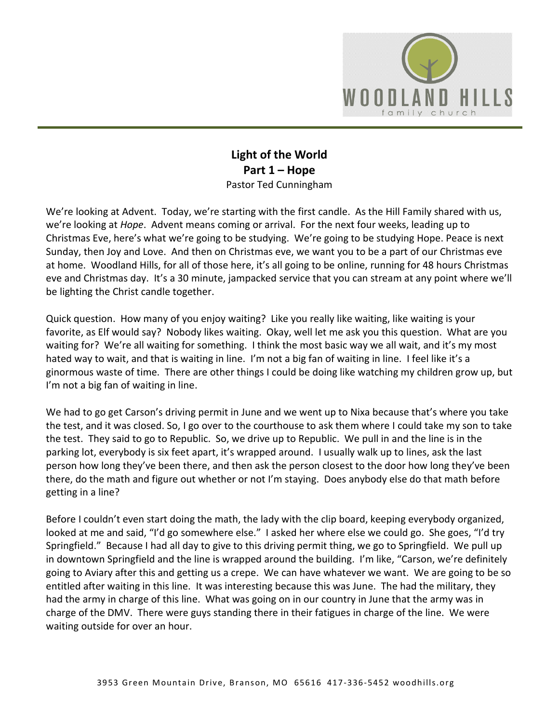

## **Light of the World Part 1 – Hope** Pastor Ted Cunningham

We're looking at Advent. Today, we're starting with the first candle. As the Hill Family shared with us, we're looking at *Hope*. Advent means coming or arrival. For the next four weeks, leading up to Christmas Eve, here's what we're going to be studying. We're going to be studying Hope. Peace is next Sunday, then Joy and Love. And then on Christmas eve, we want you to be a part of our Christmas eve at home. Woodland Hills, for all of those here, it's all going to be online, running for 48 hours Christmas eve and Christmas day. It's a 30 minute, jampacked service that you can stream at any point where we'll be lighting the Christ candle together.

Quick question. How many of you enjoy waiting? Like you really like waiting, like waiting is your favorite, as Elf would say? Nobody likes waiting. Okay, well let me ask you this question. What are you waiting for? We're all waiting for something. I think the most basic way we all wait, and it's my most hated way to wait, and that is waiting in line. I'm not a big fan of waiting in line. I feel like it's a ginormous waste of time. There are other things I could be doing like watching my children grow up, but I'm not a big fan of waiting in line.

We had to go get Carson's driving permit in June and we went up to Nixa because that's where you take the test, and it was closed. So, I go over to the courthouse to ask them where I could take my son to take the test. They said to go to Republic. So, we drive up to Republic. We pull in and the line is in the parking lot, everybody is six feet apart, it's wrapped around. I usually walk up to lines, ask the last person how long they've been there, and then ask the person closest to the door how long they've been there, do the math and figure out whether or not I'm staying. Does anybody else do that math before getting in a line?

Before I couldn't even start doing the math, the lady with the clip board, keeping everybody organized, looked at me and said, "I'd go somewhere else." I asked her where else we could go. She goes, "I'd try Springfield." Because I had all day to give to this driving permit thing, we go to Springfield. We pull up in downtown Springfield and the line is wrapped around the building. I'm like, "Carson, we're definitely going to Aviary after this and getting us a crepe. We can have whatever we want. We are going to be so entitled after waiting in this line. It was interesting because this was June. The had the military, they had the army in charge of this line. What was going on in our country in June that the army was in charge of the DMV. There were guys standing there in their fatigues in charge of the line. We were waiting outside for over an hour.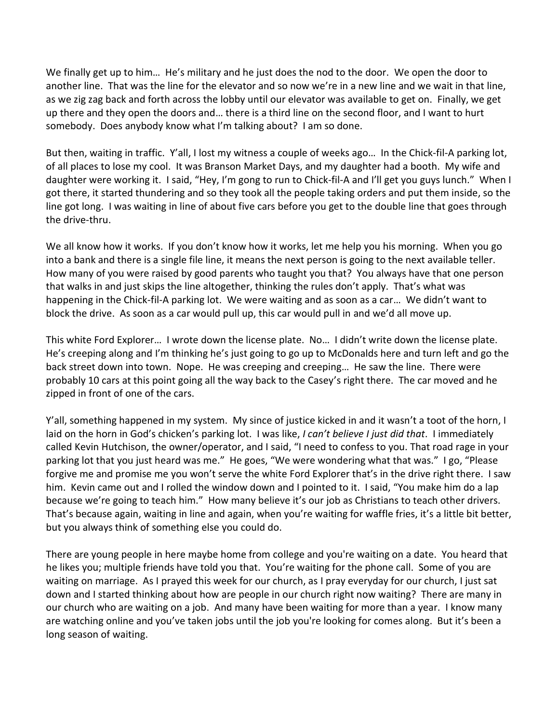We finally get up to him… He's military and he just does the nod to the door. We open the door to another line. That was the line for the elevator and so now we're in a new line and we wait in that line, as we zig zag back and forth across the lobby until our elevator was available to get on. Finally, we get up there and they open the doors and… there is a third line on the second floor, and I want to hurt somebody. Does anybody know what I'm talking about? I am so done.

But then, waiting in traffic. Y'all, I lost my witness a couple of weeks ago… In the Chick-fil-A parking lot, of all places to lose my cool. It was Branson Market Days, and my daughter had a booth. My wife and daughter were working it. I said, "Hey, I'm gong to run to Chick-fil-A and I'll get you guys lunch." When I got there, it started thundering and so they took all the people taking orders and put them inside, so the line got long. I was waiting in line of about five cars before you get to the double line that goes through the drive-thru.

We all know how it works. If you don't know how it works, let me help you his morning. When you go into a bank and there is a single file line, it means the next person is going to the next available teller. How many of you were raised by good parents who taught you that? You always have that one person that walks in and just skips the line altogether, thinking the rules don't apply. That's what was happening in the Chick-fil-A parking lot. We were waiting and as soon as a car… We didn't want to block the drive. As soon as a car would pull up, this car would pull in and we'd all move up.

This white Ford Explorer… I wrote down the license plate. No… I didn't write down the license plate. He's creeping along and I'm thinking he's just going to go up to McDonalds here and turn left and go the back street down into town. Nope. He was creeping and creeping… He saw the line. There were probably 10 cars at this point going all the way back to the Casey's right there. The car moved and he zipped in front of one of the cars.

Y'all, something happened in my system. My since of justice kicked in and it wasn't a toot of the horn, I laid on the horn in God's chicken's parking lot. I was like, *I can't believe I just did that*. I immediately called Kevin Hutchison, the owner/operator, and I said, "I need to confess to you. That road rage in your parking lot that you just heard was me." He goes, "We were wondering what that was." I go, "Please forgive me and promise me you won't serve the white Ford Explorer that's in the drive right there. I saw him. Kevin came out and I rolled the window down and I pointed to it. I said, "You make him do a lap because we're going to teach him." How many believe it's our job as Christians to teach other drivers. That's because again, waiting in line and again, when you're waiting for waffle fries, it's a little bit better, but you always think of something else you could do.

There are young people in here maybe home from college and you're waiting on a date. You heard that he likes you; multiple friends have told you that. You're waiting for the phone call. Some of you are waiting on marriage. As I prayed this week for our church, as I pray everyday for our church, I just sat down and I started thinking about how are people in our church right now waiting? There are many in our church who are waiting on a job. And many have been waiting for more than a year. I know many are watching online and you've taken jobs until the job you're looking for comes along. But it's been a long season of waiting.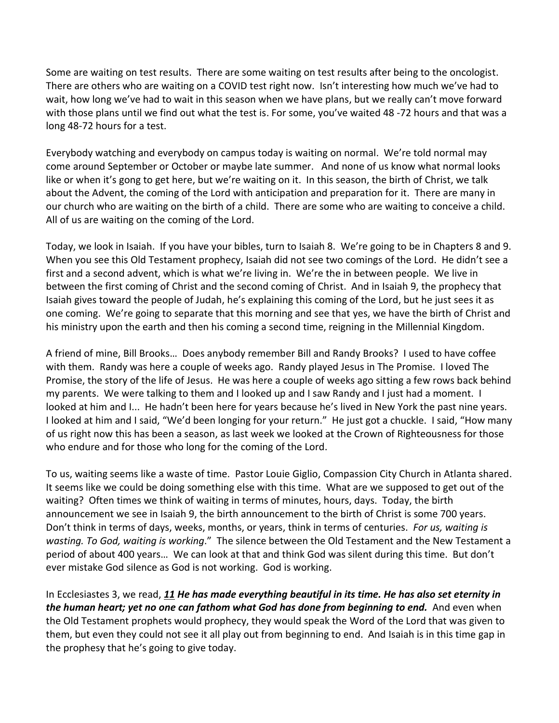Some are waiting on test results. There are some waiting on test results after being to the oncologist. There are others who are waiting on a COVID test right now. Isn't interesting how much we've had to wait, how long we've had to wait in this season when we have plans, but we really can't move forward with those plans until we find out what the test is. For some, you've waited 48 -72 hours and that was a long 48-72 hours for a test.

Everybody watching and everybody on campus today is waiting on normal. We're told normal may come around September or October or maybe late summer. And none of us know what normal looks like or when it's gong to get here, but we're waiting on it. In this season, the birth of Christ, we talk about the Advent, the coming of the Lord with anticipation and preparation for it. There are many in our church who are waiting on the birth of a child. There are some who are waiting to conceive a child. All of us are waiting on the coming of the Lord.

Today, we look in Isaiah. If you have your bibles, turn to Isaiah 8. We're going to be in Chapters 8 and 9. When you see this Old Testament prophecy, Isaiah did not see two comings of the Lord. He didn't see a first and a second advent, which is what we're living in. We're the in between people. We live in between the first coming of Christ and the second coming of Christ. And in Isaiah 9, the prophecy that Isaiah gives toward the people of Judah, he's explaining this coming of the Lord, but he just sees it as one coming. We're going to separate that this morning and see that yes, we have the birth of Christ and his ministry upon the earth and then his coming a second time, reigning in the Millennial Kingdom.

A friend of mine, Bill Brooks… Does anybody remember Bill and Randy Brooks? I used to have coffee with them. Randy was here a couple of weeks ago. Randy played Jesus in The Promise. I loved The Promise, the story of the life of Jesus. He was here a couple of weeks ago sitting a few rows back behind my parents. We were talking to them and I looked up and I saw Randy and I just had a moment. I looked at him and I... He hadn't been here for years because he's lived in New York the past nine years. I looked at him and I said, "We'd been longing for your return." He just got a chuckle. I said, "How many of us right now this has been a season, as last week we looked at the Crown of Righteousness for those who endure and for those who long for the coming of the Lord.

To us, waiting seems like a waste of time. Pastor Louie Giglio, Compassion City Church in Atlanta shared. It seems like we could be doing something else with this time. What are we supposed to get out of the waiting? Often times we think of waiting in terms of minutes, hours, days. Today, the birth announcement we see in Isaiah 9, the birth announcement to the birth of Christ is some 700 years. Don't think in terms of days, weeks, months, or years, think in terms of centuries. *For us, waiting is wasting. To God, waiting is working*." The silence between the Old Testament and the New Testament a period of about 400 years… We can look at that and think God was silent during this time. But don't ever mistake God silence as God is not working. God is working.

In Ecclesiastes 3, we read, *[11](https://www.studylight.org/desk/?q=ec%203:11&t1=en_niv&sr=1) He has made everything beautiful in its time. He has also set eternity in the human heart; yet no one can fathom what God has done from beginning to end.* And even when the Old Testament prophets would prophecy, they would speak the Word of the Lord that was given to them, but even they could not see it all play out from beginning to end. And Isaiah is in this time gap in the prophesy that he's going to give today.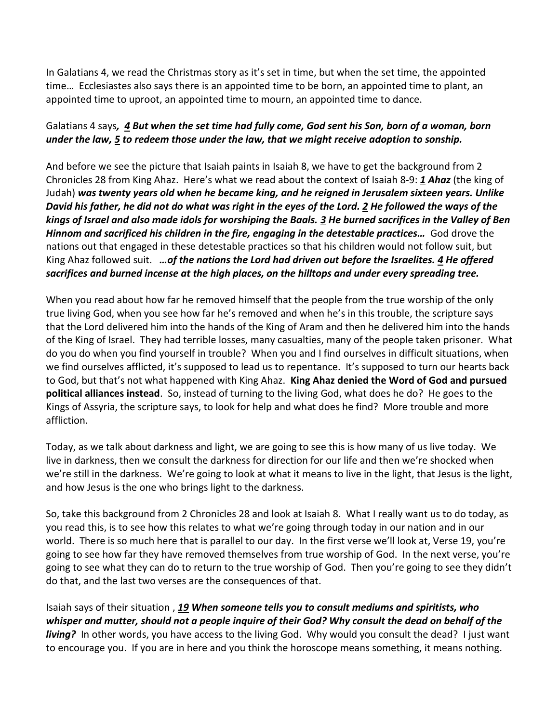In Galatians 4, we read the Christmas story as it's set in time, but when the set time, the appointed time… Ecclesiastes also says there is an appointed time to be born, an appointed time to plant, an appointed time to uproot, an appointed time to mourn, an appointed time to dance.

## Galatians 4 says*, [4](https://www.studylight.org/desk/?q=ga%204:4&t1=en_niv&sr=1) But when the set time had fully come, God sent his Son, born of a woman, born under the law, [5](https://www.studylight.org/desk/?q=ga%204:5&t1=en_niv&sr=1) to redeem those under the law, that we might receive adoption to sonship.*

And before we see the picture that Isaiah paints in Isaiah 8, we have to get the background from 2 Chronicles 28 from King Ahaz. Here's what we read about the context of Isaiah 8-9: *[1](https://www.studylight.org/desk/?q=2ch%2028:1&t1=en_niv&sr=1) Ahaz* (the king of Judah) *was twenty years old when he became king, and he reigned in Jerusalem sixteen years. Unlike David his father, he did not do what was right in the eyes of the Lord. [2](https://www.studylight.org/desk/?q=2ch%2028:2&t1=en_niv&sr=1) He followed the ways of the kings of Israel and also made idols for worshiping the Baals. [3](https://www.studylight.org/desk/?q=2ch%2028:3&t1=en_niv&sr=1) He burned sacrifices in the Valley of Ben Hinnom and sacrificed his children in the fire, engaging in the detestable practices…* God drove the nations out that engaged in these detestable practices so that his children would not follow suit, but King Ahaz followed suit. *…of the nations the Lord had driven out before the Israelites. [4](https://www.studylight.org/desk/?q=2ch%2028:4&t1=en_niv&sr=1) He offered sacrifices and burned incense at the high places, on the hilltops and under every spreading tree.*

When you read about how far he removed himself that the people from the true worship of the only true living God, when you see how far he's removed and when he's in this trouble, the scripture says that the Lord delivered him into the hands of the King of Aram and then he delivered him into the hands of the King of Israel. They had terrible losses, many casualties, many of the people taken prisoner. What do you do when you find yourself in trouble? When you and I find ourselves in difficult situations, when we find ourselves afflicted, it's supposed to lead us to repentance. It's supposed to turn our hearts back to God, but that's not what happened with King Ahaz. **King Ahaz denied the Word of God and pursued political alliances instead**. So, instead of turning to the living God, what does he do? He goes to the Kings of Assyria, the scripture says, to look for help and what does he find? More trouble and more affliction.

Today, as we talk about darkness and light, we are going to see this is how many of us live today. We live in darkness, then we consult the darkness for direction for our life and then we're shocked when we're still in the darkness. We're going to look at what it means to live in the light, that Jesus is the light, and how Jesus is the one who brings light to the darkness.

So, take this background from 2 Chronicles 28 and look at Isaiah 8. What I really want us to do today, as you read this, is to see how this relates to what we're going through today in our nation and in our world. There is so much here that is parallel to our day. In the first verse we'll look at, Verse 19, you're going to see how far they have removed themselves from true worship of God. In the next verse, you're going to see what they can do to return to the true worship of God. Then you're going to see they didn't do that, and the last two verses are the consequences of that.

Isaiah says of their situation , *[19](https://www.studylight.org/desk/?q=isa%208:19&t1=en_niv&sr=1) When someone tells you to consult mediums and spiritists, who whisper and mutter, should not a people inquire of their God? Why consult the dead on behalf of the living?* In other words, you have access to the living God. Why would you consult the dead? I just want to encourage you. If you are in here and you think the horoscope means something, it means nothing.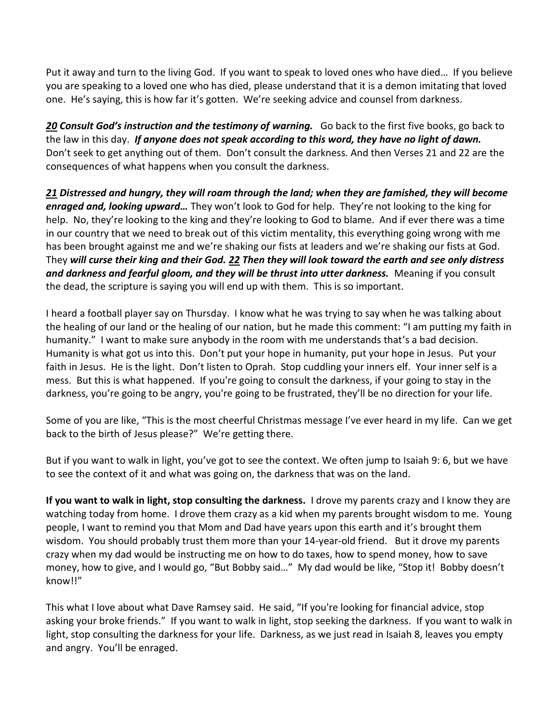Put it away and turn to the living God. If you want to speak to loved ones who have died… If you believe you are speaking to a loved one who has died, please understand that it is a demon imitating that loved one. He's saying, this is how far it's gotten. We're seeking advice and counsel from darkness.

**[20](https://www.studylight.org/desk/?q=isa%208:20&t1=en_niv&sr=1) Consult God's instruction and the testimony of warning.** Go back to the first five books, go back to the law in this day. *If anyone does not speak according to this word, they have no light of dawn.*  Don't seek to get anything out of them. Don't consult the darkness. And then Verses 21 and 22 are the consequences of what happens when you consult the darkness.

*[21](https://www.studylight.org/desk/?q=isa%208:21&t1=en_niv&sr=1) Distressed and hungry, they will roam through the land; when they are famished, they will become enraged and, looking upward…* They won't look to God for help. They're not looking to the king for help. No, they're looking to the king and they're looking to God to blame. And if ever there was a time in our country that we need to break out of this victim mentality, this everything going wrong with me has been brought against me and we're shaking our fists at leaders and we're shaking our fists at God. They *will curse their king and their God. [22](https://www.studylight.org/desk/?q=isa%208:22&t1=en_niv&sr=1) Then they will look toward the earth and see only distress and darkness and fearful gloom, and they will be thrust into utter darkness.* Meaning if you consult the dead, the scripture is saying you will end up with them. This is so important.

I heard a football player say on Thursday. I know what he was trying to say when he was talking about the healing of our land or the healing of our nation, but he made this comment: "I am putting my faith in humanity." I want to make sure anybody in the room with me understands that's a bad decision. Humanity is what got us into this. Don't put your hope in humanity, put your hope in Jesus. Put your faith in Jesus. He is the light. Don't listen to Oprah. Stop cuddling your inners elf. Your inner self is a mess. But this is what happened. If you're going to consult the darkness, if your going to stay in the darkness, you're going to be angry, you're going to be frustrated, they'll be no direction for your life.

Some of you are like, "This is the most cheerful Christmas message I've ever heard in my life. Can we get back to the birth of Jesus please?" We're getting there.

But if you want to walk in light, you've got to see the context. We often jump to Isaiah 9: 6, but we have to see the context of it and what was going on, the darkness that was on the land.

**If you want to walk in light, stop consulting the darkness.** I drove my parents crazy and I know they are watching today from home. I drove them crazy as a kid when my parents brought wisdom to me. Young people, I want to remind you that Mom and Dad have years upon this earth and it's brought them wisdom. You should probably trust them more than your 14-year-old friend. But it drove my parents crazy when my dad would be instructing me on how to do taxes, how to spend money, how to save money, how to give, and I would go, "But Bobby said…" My dad would be like, "Stop it! Bobby doesn't know!!"

This what I love about what Dave Ramsey said. He said, "If you're looking for financial advice, stop asking your broke friends." If you want to walk in light, stop seeking the darkness. If you want to walk in light, stop consulting the darkness for your life. Darkness, as we just read in Isaiah 8, leaves you empty and angry. You'll be enraged.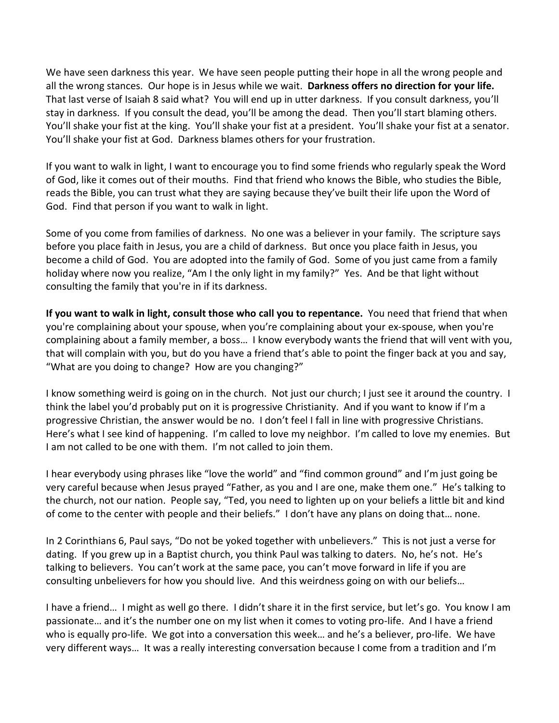We have seen darkness this year. We have seen people putting their hope in all the wrong people and all the wrong stances. Our hope is in Jesus while we wait. **Darkness offers no direction for your life.**  That last verse of Isaiah 8 said what? You will end up in utter darkness. If you consult darkness, you'll stay in darkness. If you consult the dead, you'll be among the dead. Then you'll start blaming others. You'll shake your fist at the king. You'll shake your fist at a president. You'll shake your fist at a senator. You'll shake your fist at God. Darkness blames others for your frustration.

If you want to walk in light, I want to encourage you to find some friends who regularly speak the Word of God, like it comes out of their mouths. Find that friend who knows the Bible, who studies the Bible, reads the Bible, you can trust what they are saying because they've built their life upon the Word of God. Find that person if you want to walk in light.

Some of you come from families of darkness. No one was a believer in your family. The scripture says before you place faith in Jesus, you are a child of darkness. But once you place faith in Jesus, you become a child of God. You are adopted into the family of God. Some of you just came from a family holiday where now you realize, "Am I the only light in my family?" Yes. And be that light without consulting the family that you're in if its darkness.

**If you want to walk in light, consult those who call you to repentance.** You need that friend that when you're complaining about your spouse, when you're complaining about your ex-spouse, when you're complaining about a family member, a boss… I know everybody wants the friend that will vent with you, that will complain with you, but do you have a friend that's able to point the finger back at you and say, "What are you doing to change? How are you changing?"

I know something weird is going on in the church. Not just our church; I just see it around the country. I think the label you'd probably put on it is progressive Christianity. And if you want to know if I'm a progressive Christian, the answer would be no. I don't feel I fall in line with progressive Christians. Here's what I see kind of happening. I'm called to love my neighbor. I'm called to love my enemies. But I am not called to be one with them. I'm not called to join them.

I hear everybody using phrases like "love the world" and "find common ground" and I'm just going be very careful because when Jesus prayed "Father, as you and I are one, make them one." He's talking to the church, not our nation. People say, "Ted, you need to lighten up on your beliefs a little bit and kind of come to the center with people and their beliefs." I don't have any plans on doing that… none.

In 2 Corinthians 6, Paul says, "Do not be yoked together with unbelievers." This is not just a verse for dating. If you grew up in a Baptist church, you think Paul was talking to daters. No, he's not. He's talking to believers. You can't work at the same pace, you can't move forward in life if you are consulting unbelievers for how you should live. And this weirdness going on with our beliefs…

I have a friend… I might as well go there. I didn't share it in the first service, but let's go. You know I am passionate… and it's the number one on my list when it comes to voting pro-life. And I have a friend who is equally pro-life. We got into a conversation this week… and he's a believer, pro-life. We have very different ways… It was a really interesting conversation because I come from a tradition and I'm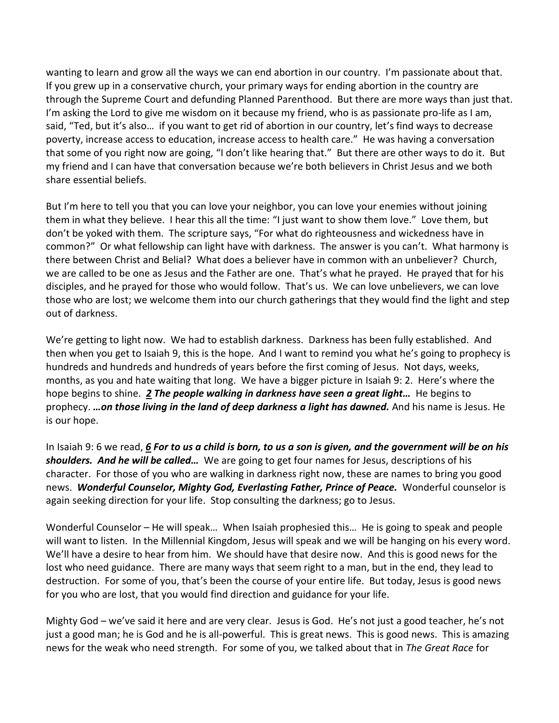wanting to learn and grow all the ways we can end abortion in our country. I'm passionate about that. If you grew up in a conservative church, your primary ways for ending abortion in the country are through the Supreme Court and defunding Planned Parenthood. But there are more ways than just that. I'm asking the Lord to give me wisdom on it because my friend, who is as passionate pro-life as I am, said, "Ted, but it's also… if you want to get rid of abortion in our country, let's find ways to decrease poverty, increase access to education, increase access to health care." He was having a conversation that some of you right now are going, "I don't like hearing that." But there are other ways to do it. But my friend and I can have that conversation because we're both believers in Christ Jesus and we both share essential beliefs.

But I'm here to tell you that you can love your neighbor, you can love your enemies without joining them in what they believe. I hear this all the time: "I just want to show them love." Love them, but don't be yoked with them. The scripture says, "For what do righteousness and wickedness have in common?" Or what fellowship can light have with darkness. The answer is you can't. What harmony is there between Christ and Belial? What does a believer have in common with an unbeliever? Church, we are called to be one as Jesus and the Father are one. That's what he prayed. He prayed that for his disciples, and he prayed for those who would follow. That's us. We can love unbelievers, we can love those who are lost; we welcome them into our church gatherings that they would find the light and step out of darkness.

We're getting to light now. We had to establish darkness. Darkness has been fully established. And then when you get to Isaiah 9, this is the hope. And I want to remind you what he's going to prophecy is hundreds and hundreds and hundreds of years before the first coming of Jesus. Not days, weeks, months, as you and hate waiting that long. We have a bigger picture in Isaiah 9: 2. Here's where the hope begins to shine. *[2](https://www.studylight.org/desk/?q=isa%209:2&t1=en_niv&sr=1) The people walking in darkness have seen a great light…* He begins to prophecy. *…on those living in the land of deep darkness a light has dawned.* And his name is Jesus. He is our hope.

In Isaiah 9: 6 we read, *[6](https://www.studylight.org/desk/?q=isa%209:6&t1=en_niv&sr=1) For to us a child is born, to us a son is given, and the government will be on his shoulders. And he will be called…* We are going to get four names for Jesus, descriptions of his character. For those of you who are walking in darkness right now, these are names to bring you good news. *Wonderful Counselor, Mighty God, Everlasting Father, Prince of Peace.* Wonderful counselor is again seeking direction for your life. Stop consulting the darkness; go to Jesus.

Wonderful Counselor – He will speak... When Isaiah prophesied this... He is going to speak and people will want to listen. In the Millennial Kingdom, Jesus will speak and we will be hanging on his every word. We'll have a desire to hear from him. We should have that desire now. And this is good news for the lost who need guidance. There are many ways that seem right to a man, but in the end, they lead to destruction. For some of you, that's been the course of your entire life. But today, Jesus is good news for you who are lost, that you would find direction and guidance for your life.

Mighty God – we've said it here and are very clear. Jesus is God. He's not just a good teacher, he's not just a good man; he is God and he is all-powerful. This is great news. This is good news. This is amazing news for the weak who need strength. For some of you, we talked about that in *The Great Race* for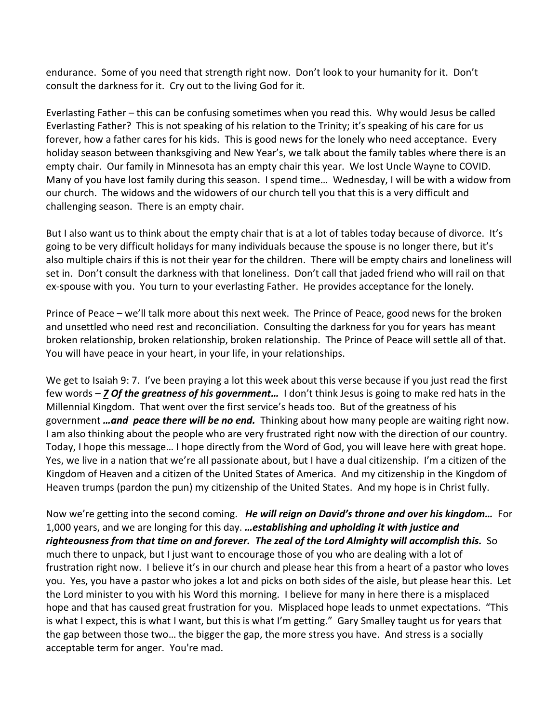endurance. Some of you need that strength right now. Don't look to your humanity for it. Don't consult the darkness for it. Cry out to the living God for it.

Everlasting Father – this can be confusing sometimes when you read this. Why would Jesus be called Everlasting Father? This is not speaking of his relation to the Trinity; it's speaking of his care for us forever, how a father cares for his kids. This is good news for the lonely who need acceptance. Every holiday season between thanksgiving and New Year's, we talk about the family tables where there is an empty chair. Our family in Minnesota has an empty chair this year. We lost Uncle Wayne to COVID. Many of you have lost family during this season. I spend time… Wednesday, I will be with a widow from our church. The widows and the widowers of our church tell you that this is a very difficult and challenging season. There is an empty chair.

But I also want us to think about the empty chair that is at a lot of tables today because of divorce. It's going to be very difficult holidays for many individuals because the spouse is no longer there, but it's also multiple chairs if this is not their year for the children. There will be empty chairs and loneliness will set in. Don't consult the darkness with that loneliness. Don't call that jaded friend who will rail on that ex-spouse with you. You turn to your everlasting Father. He provides acceptance for the lonely.

Prince of Peace – we'll talk more about this next week. The Prince of Peace, good news for the broken and unsettled who need rest and reconciliation. Consulting the darkness for you for years has meant broken relationship, broken relationship, broken relationship. The Prince of Peace will settle all of that. You will have peace in your heart, in your life, in your relationships.

We get to Isaiah 9: 7. I've been praying a lot this week about this verse because if you just read the first few words – *[7](https://www.studylight.org/desk/?q=isa%209:7&t1=en_niv&sr=1) Of the greatness of his government…* I don't think Jesus is going to make red hats in the Millennial Kingdom. That went over the first service's heads too. But of the greatness of his government *…and peace there will be no end.* Thinking about how many people are waiting right now. I am also thinking about the people who are very frustrated right now with the direction of our country. Today, I hope this message… I hope directly from the Word of God, you will leave here with great hope. Yes, we live in a nation that we're all passionate about, but I have a dual citizenship. I'm a citizen of the Kingdom of Heaven and a citizen of the United States of America. And my citizenship in the Kingdom of Heaven trumps (pardon the pun) my citizenship of the United States. And my hope is in Christ fully.

Now we're getting into the second coming. *He will reign on David's throne and over his kingdom…* For 1,000 years, and we are longing for this day. *…establishing and upholding it with justice and righteousness from that time on and forever. The zeal of the Lord Almighty will accomplish this.* So much there to unpack, but I just want to encourage those of you who are dealing with a lot of frustration right now. I believe it's in our church and please hear this from a heart of a pastor who loves you. Yes, you have a pastor who jokes a lot and picks on both sides of the aisle, but please hear this. Let the Lord minister to you with his Word this morning. I believe for many in here there is a misplaced hope and that has caused great frustration for you. Misplaced hope leads to unmet expectations. "This is what I expect, this is what I want, but this is what I'm getting." Gary Smalley taught us for years that the gap between those two… the bigger the gap, the more stress you have. And stress is a socially acceptable term for anger. You're mad.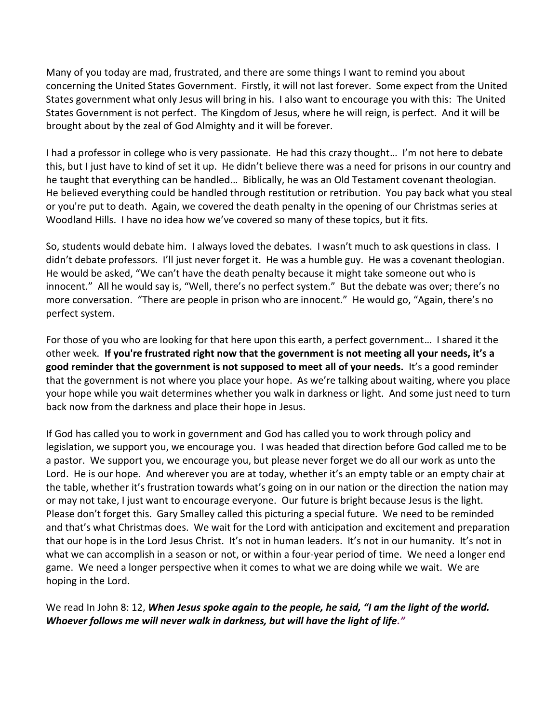Many of you today are mad, frustrated, and there are some things I want to remind you about concerning the United States Government. Firstly, it will not last forever. Some expect from the United States government what only Jesus will bring in his. I also want to encourage you with this: The United States Government is not perfect. The Kingdom of Jesus, where he will reign, is perfect. And it will be brought about by the zeal of God Almighty and it will be forever.

I had a professor in college who is very passionate. He had this crazy thought… I'm not here to debate this, but I just have to kind of set it up. He didn't believe there was a need for prisons in our country and he taught that everything can be handled… Biblically, he was an Old Testament covenant theologian. He believed everything could be handled through restitution or retribution. You pay back what you steal or you're put to death. Again, we covered the death penalty in the opening of our Christmas series at Woodland Hills. I have no idea how we've covered so many of these topics, but it fits.

So, students would debate him. I always loved the debates. I wasn't much to ask questions in class. I didn't debate professors. I'll just never forget it. He was a humble guy. He was a covenant theologian. He would be asked, "We can't have the death penalty because it might take someone out who is innocent." All he would say is, "Well, there's no perfect system." But the debate was over; there's no more conversation. "There are people in prison who are innocent." He would go, "Again, there's no perfect system.

For those of you who are looking for that here upon this earth, a perfect government… I shared it the other week. **If you're frustrated right now that the government is not meeting all your needs, it's a good reminder that the government is not supposed to meet all of your needs.** It's a good reminder that the government is not where you place your hope. As we're talking about waiting, where you place your hope while you wait determines whether you walk in darkness or light. And some just need to turn back now from the darkness and place their hope in Jesus.

If God has called you to work in government and God has called you to work through policy and legislation, we support you, we encourage you. I was headed that direction before God called me to be a pastor. We support you, we encourage you, but please never forget we do all our work as unto the Lord. He is our hope. And wherever you are at today, whether it's an empty table or an empty chair at the table, whether it's frustration towards what's going on in our nation or the direction the nation may or may not take, I just want to encourage everyone. Our future is bright because Jesus is the light. Please don't forget this. Gary Smalley called this picturing a special future. We need to be reminded and that's what Christmas does. We wait for the Lord with anticipation and excitement and preparation that our hope is in the Lord Jesus Christ. It's not in human leaders. It's not in our humanity. It's not in what we can accomplish in a season or not, or within a four-year period of time. We need a longer end game. We need a longer perspective when it comes to what we are doing while we wait. We are hoping in the Lord.

We read In John 8: 12, *When Jesus spoke again to the people, he said, "I am the light of the world. Whoever follows me will never walk in darkness, but will have the light of life."*